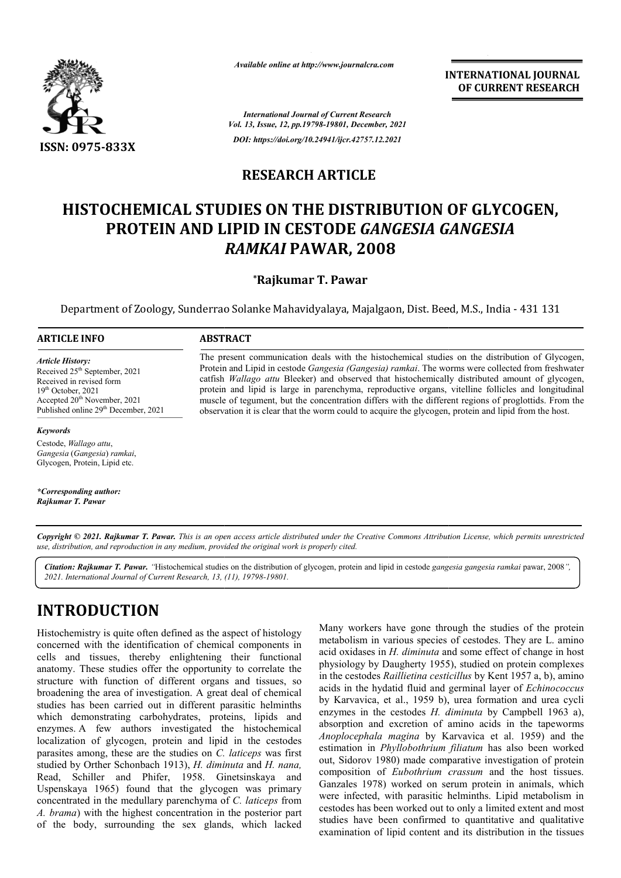

*Available online at http://www.journalcra.com*

**INTERNATIONAL JOURNAL OF CURRENT RESEARCH**

*International Journal of Current Research Vol. 13, Issue, 12, pp.19798-19801, December, 2021 DOI: https://doi.org/10.24941/ijcr.42757.12.2021*

#### **RESEARCH ARTICLE**

# **HISTOCHEMICAL STUDIES ON THE DISTRIBUTION OF GLYCOGEN, HISTOCHEMICAL STUDIES PROTEIN AND LIPID IN CESTODE**  *GANGESIA GANGESIA GANGESIA RAMKAI* **PAWAR, 2008**

#### **\*Rajkumar T. Pawar**

Department of Zoology, Sunderrao Solanke Mahavidyalaya, Majalgaon, Dist. Beed, M.S., India - 431 131

#### **ARTICLE INFO ABSTRACT**

*Article History: Article* Received 25<sup>th</sup> September, 2021 Received in revised form Received  $19<sup>th</sup> October, 2021$ Accepted 20<sup>th</sup> November, 2021 Published online 29<sup>th</sup> December, 2021

#### *Keywords*

Cestode, *Wallago attu*, *Gangesia* (*Gangesia*) *ramkai*, Glycogen, Protein, Lipid etc.

*\*Corresponding author: Rajkumar T. Pawar*

The present communication deals with the histochemical studies on the distribution of Glycogen, Protein and Lipid in cestode *Gangesia (Gangesia) ramkai*. The worms were collected from freshwater catfish *Wallago attu* Bleeker) and observed that histochemically distributed amount of glycogen, protein and lipid is large in parenchyma, reproductive organs, vitelline follicles and longitudinal muscle of tegument, but the concentration differs with the different regions of proglottids. From the observation it is clear that the worm could to acquire the glycogen, protein and lipid from the host. The present communication deals with the histochemical studies on the distribution of Glycogen, Protein and Lipid in cestode *Gangesia (Gangesia) ramkai*. The worms were collected from freshwater catfish *Wallago attu* Ble

Copyright © 2021. Rajkumar T. Pawar. This is an open access article distributed under the Creative Commons Attribution License, which permits unrestricted *use, distribution, and reproduction in any medium, provided the original work is properly cited.*

Citation: Rajkumar T. Pawar. "Histochemical studies on the distribution of glycogen, protein and lipid in cestode gangesia gangesia ramkai pawar, 2008", *2021. International Journal of Current Research, 13, (11), 19798-19801.*

## **INTRODUCTION**

Histochemistry is quite often defined as the aspect of histology concerned with the identification of chemical components in cells and tissues, thereby enlightening their functional anatomy. These studies offer the opportunity to correlate the structure with function of different organs and tissues, so broadening the area of investigation. A great deal of chemical studies has been carried out in different parasitic helminths which demonstrating carbohydrates, proteins, lipids and enzymes. A few authors investigated the histochemical localization of glycogen, protein and lipid in the cestodes parasites among, these are the studies on *C. laticeps* was first studied by Orther Schonbach 1913), *H. diminuta* and *H. nana,*  Read, Schiller and Phifer, 1958. Ginetsinskaya and Uspenskaya 1965) found that the glycogen was primary concentrated in the medullary parenchyma of *C. laticeps* from A. brama) with the highest concentration in the posterior part of the body, surrounding the sex glands, which lacked

Many workers have gone through the studies of the protein metabolism in various species of cestodes. They are L. amino acid oxidases in *H. diminuta* and some effect of change in host Many workers have gone through the studies of the protein metabolism in various species of cestodes. They are L. amino acid oxidases in *H. diminuta* and some effect of change in host physiology by Daugherty 1955), studied in the cestodes *Raillietina cesticillus* by Kent 1957 a, b), amino acids in the hydatid fluid and germinal layer of *Echinococcus* by Karvavica, et al., 1959 b), urea formation and urea cycli enzymes in the cestodes *H. diminuta* by Campbell 1963 a), absorption and excretion of amino acids in the tapeworms absorption and excretion of amino acids in the tapeworms *Anoplocephala magina* by Karvavica et al. 1959) and the estimation in *Phyllobothrium filiatum* has also been worked out, Sidorov 1980) made comparative investigation of protein composition of *Eubothrium crassum* and the host tissues. Ganzales 1978) worked on serum protein in animals, which were infected, with parasitic helminths. Lipid metabolism in cestodes has been worked out to only a limited extent and most studies have been confirmed to quantitative and qualitative examination of lipid content and its distribution in the tissues **SET AT CONCERT AND AND THE CONCERT CONSUMMEL OF CURRENT RESEARCH**<br>
TION OF GLYCOGEN,<br>
FISIR CANGESIA<br>
TION COURRENT AND TRIST AND THE CONSUMPLE TO THE CONSUMPLE TO THE AND THE CONSUMPLE THE WARD THE CONSUMPLE THE WAT THE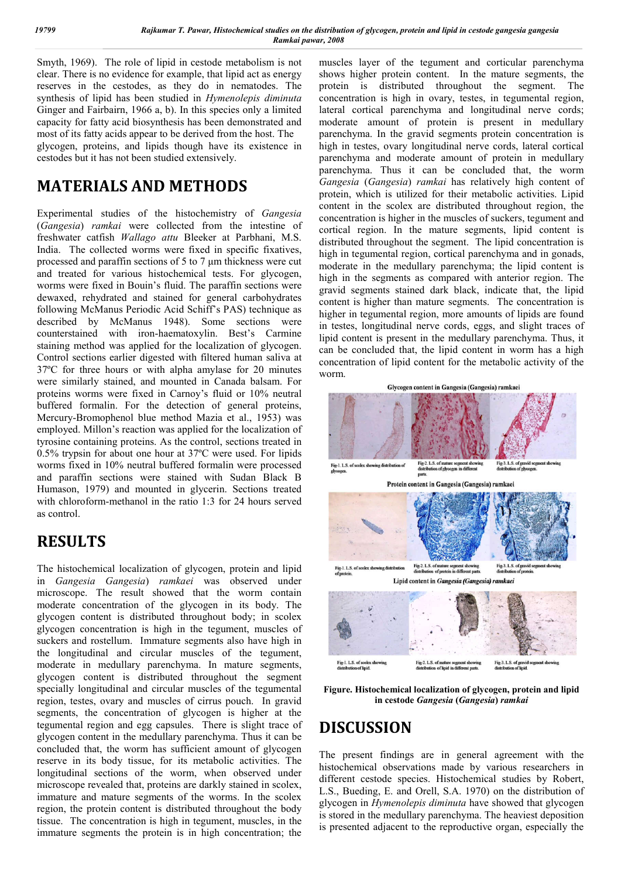Smyth, 1969). The role of lipid in cestode metabolism is not clear. There is no evidence for example, that lipid act as energy reserves in the cestodes, as they do in nematodes. The synthesis of lipid has been studied in *Hymenolepis diminuta* Ginger and Fairbairn, 1966 a, b). In this species only a limited capacity for fatty acid biosynthesis has been demonstrated and most of its fatty acids appear to be derived from the host. The glycogen, proteins, and lipids though have its existence in cestodes but it has not been studied extensively.

# **MATERIALS AND METHODS**

Experimental studies of the histochemistry of *Gangesia* (*Gangesia*) *ramkai* were collected from the intestine of freshwater catfish *Wallago attu* Bleeker at Parbhani, M.S. India. The collected worms were fixed in specific fixatives, processed and paraffin sections of 5 to 7 μm thickness were cut and treated for various histochemical tests. For glycogen, worms were fixed in Bouin's fluid. The paraffin sections were dewaxed, rehydrated and stained for general carbohydrates following McManus Periodic Acid Schiff's PAS) technique as described by McManus 1948). Some sections were counterstained with iron-haematoxylin. Best's Carmine staining method was applied for the localization of glycogen. Control sections earlier digested with filtered human saliva at 37ºC for three hours or with alpha amylase for 20 minutes were similarly stained, and mounted in Canada balsam. For proteins worms were fixed in Carnoy's fluid or 10% neutral buffered formalin. For the detection of general proteins, Mercury-Bromophenol blue method Mazia et al., 1953) was employed. Millon's reaction was applied for the localization of tyrosine containing proteins. As the control, sections treated in 0.5% trypsin for about one hour at 37ºC were used. For lipids worms fixed in 10% neutral buffered formalin were processed and paraffin sections were stained with Sudan Black B Humason, 1979) and mounted in glycerin. Sections treated with chloroform-methanol in the ratio 1:3 for 24 hours served as control.

# **RESULTS**

The histochemical localization of glycogen, protein and lipid in *Gangesia Gangesia*) *ramkaei* was observed under microscope. The result showed that the worm contain moderate concentration of the glycogen in its body. The glycogen content is distributed throughout body; in scolex glycogen concentration is high in the tegument, muscles of suckers and rostellum. Immature segments also have high in the longitudinal and circular muscles of the tegument, moderate in medullary parenchyma. In mature segments, glycogen content is distributed throughout the segment specially longitudinal and circular muscles of the tegumental region, testes, ovary and muscles of cirrus pouch. In gravid segments, the concentration of glycogen is higher at the tegumental region and egg capsules. There is slight trace of glycogen content in the medullary parenchyma. Thus it can be concluded that, the worm has sufficient amount of glycogen reserve in its body tissue, for its metabolic activities. The longitudinal sections of the worm, when observed under microscope revealed that, proteins are darkly stained in scolex, immature and mature segments of the worms. In the scolex region, the protein content is distributed throughout the body tissue. The concentration is high in tegument, muscles, in the immature segments the protein is in high concentration; the

muscles layer of the tegument and corticular parenchyma shows higher protein content. In the mature segments, the protein is distributed throughout the segment. The concentration is high in ovary, testes, in tegumental region, lateral cortical parenchyma and longitudinal nerve cords; moderate amount of protein is present in medullary parenchyma. In the gravid segments protein concentration is high in testes, ovary longitudinal nerve cords, lateral cortical parenchyma and moderate amount of protein in medullary parenchyma. Thus it can be concluded that, the worm *Gangesia* (*Gangesia*) *ramkai* has relatively high content of protein, which is utilized for their metabolic activities. Lipid content in the scolex are distributed throughout region, the concentration is higher in the muscles of suckers, tegument and cortical region. In the mature segments, lipid content is distributed throughout the segment. The lipid concentration is high in tegumental region, cortical parenchyma and in gonads, moderate in the medullary parenchyma; the lipid content is high in the segments as compared with anterior region. The gravid segments stained dark black, indicate that, the lipid content is higher than mature segments. The concentration is higher in tegumental region, more amounts of lipids are found in testes, longitudinal nerve cords, eggs, and slight traces of lipid content is present in the medullary parenchyma. Thus, it can be concluded that, the lipid content in worm has a high concentration of lipid content for the metabolic activity of the worm.



**Figure. Histochemical localization of glycogen, protein and lipid in cestode** *Gangesia* **(***Gangesia***)** *ramkai*

## **DISCUSSION**

The present findings are in general agreement with the histochemical observations made by various researchers in different cestode species. Histochemical studies by Robert, L.S., Bueding, E. and Orell, S.A. 1970) on the distribution of glycogen in *Hymenolepis diminuta* have showed that glycogen is stored in the medullary parenchyma. The heaviest deposition is presented adjacent to the reproductive organ, especially the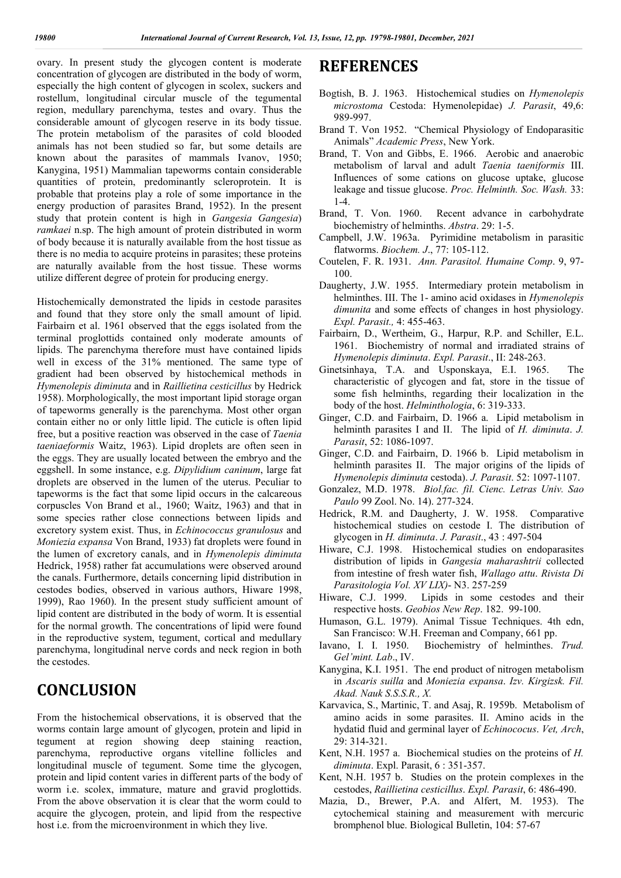ovary. In present study the glycogen content is moderate concentration of glycogen are distributed in the body of worm, especially the high content of glycogen in scolex, suckers and rostellum, longitudinal circular muscle of the tegumental region, medullary parenchyma, testes and ovary. Thus the considerable amount of glycogen reserve in its body tissue. The protein metabolism of the parasites of cold blooded animals has not been studied so far, but some details are known about the parasites of mammals Ivanov, 1950; Kanygina, 1951) Mammalian tapeworms contain considerable quantities of protein, predominantly scleroprotein. It is probable that proteins play a role of some importance in the energy production of parasites Brand, 1952). In the present study that protein content is high in *Gangesia Gangesia*) *ramkaei* n.sp. The high amount of protein distributed in worm of body because it is naturally available from the host tissue as there is no media to acquire proteins in parasites; these proteins are naturally available from the host tissue. These worms utilize different degree of protein for producing energy.

Histochemically demonstrated the lipids in cestode parasites and found that they store only the small amount of lipid. Fairbairn et al. 1961 observed that the eggs isolated from the terminal proglottids contained only moderate amounts of lipids. The parenchyma therefore must have contained lipids well in excess of the 31% mentioned. The same type of gradient had been observed by histochemical methods in *Hymenolepis diminuta* and in *Raillietina cesticillus* by Hedrick 1958). Morphologically, the most important lipid storage organ of tapeworms generally is the parenchyma. Most other organ contain either no or only little lipid. The cuticle is often lipid free, but a positive reaction was observed in the case of *Taenia taeniaeformis* Waitz, 1963). Lipid droplets are often seen in the eggs. They are usually located between the embryo and the eggshell. In some instance, e.g. *Dipylidium caninum*, large fat droplets are observed in the lumen of the uterus. Peculiar to tapeworms is the fact that some lipid occurs in the calcareous corpuscles Von Brand et al., 1960; Waitz, 1963) and that in some species rather close connections between lipids and excretory system exist. Thus, in *Echinococcus granulosus* and *Moniezia expansa* Von Brand, 1933) fat droplets were found in the lumen of excretory canals, and in *Hymenolepis diminuta* Hedrick, 1958) rather fat accumulations were observed around the canals. Furthermore, details concerning lipid distribution in cestodes bodies, observed in various authors, Hiware 1998, 1999), Rao 1960). In the present study sufficient amount of lipid content are distributed in the body of worm. It is essential for the normal growth. The concentrations of lipid were found in the reproductive system, tegument, cortical and medullary parenchyma, longitudinal nerve cords and neck region in both the cestodes.

### **CONCLUSION**

From the histochemical observations, it is observed that the worms contain large amount of glycogen, protein and lipid in tegument at region showing deep staining reaction, parenchyma, reproductive organs vitelline follicles and longitudinal muscle of tegument. Some time the glycogen, protein and lipid content varies in different parts of the body of worm i.e. scolex, immature, mature and gravid proglottids. From the above observation it is clear that the worm could to acquire the glycogen, protein, and lipid from the respective host i.e. from the microenvironment in which they live.

#### **REFERENCES**

- Bogtish, B. J. 1963. Histochemical studies on *Hymenolepis microstoma* Cestoda: Hymenolepidae) *J. Parasit*, 49,6: 989-997.
- Brand T. Von 1952. "Chemical Physiology of Endoparasitic Animals" *Academic Press*, New York.
- Brand, T. Von and Gibbs, E. 1966. Aerobic and anaerobic metabolism of larval and adult *Taenia taeniformis* III. Influences of some cations on glucose uptake, glucose leakage and tissue glucose. *Proc. Helminth. Soc. Wash.* 33: 1-4.
- Brand, T. Von. 1960. Recent advance in carbohydrate biochemistry of helminths. *Abstra*. 29: 1-5.
- Campbell, J.W. 1963a. Pyrimidine metabolism in parasitic flatworms. *Biochem. J*., 77: 105-112.
- Coutelen, F. R. 1931. *Ann. Parasitol. Humaine Comp*. 9, 97- 100.
- Daugherty, J.W. 1955. Intermediary protein metabolism in helminthes. III. The 1- amino acid oxidases in *Hymenolepis dimunita* and some effects of changes in host physiology. *Expl. Parasit.,* 4: 455-463.
- Fairbairn, D., Wertheim, G., Harpur, R.P. and Schiller, E.L. 1961. Biochemistry of normal and irradiated strains of *Hymenolepis diminuta*. *Expl. Parasit*., II: 248-263.
- Ginetsinhaya, T.A. and Usponskaya, E.I. 1965. The characteristic of glycogen and fat, store in the tissue of some fish helminths, regarding their localization in the body of the host. *Helminthologia*, 6: 319-333.
- Ginger, C.D. and Fairbairn, D. 1966 a. Lipid metabolism in helminth parasites I and II. The lipid of *H. diminuta*. *J. Parasit*, 52: 1086-1097.
- Ginger, C.D. and Fairbairn, D. 1966 b. Lipid metabolism in helminth parasites II. The major origins of the lipids of *Hymenolepis diminuta* cestoda). *J. Parasit*. 52: 1097-1107.
- Gonzalez, M.D. 1978. *Biol.fac. fil. Cienc. Letras Univ. Sao Paulo* 99 Zool. No. 14). 277-324.
- Hedrick, R.M. and Daugherty, J. W. 1958. Comparative histochemical studies on cestode I. The distribution of glycogen in *H. diminuta*. *J. Parasit*., 43 : 497-504
- Hiware, C.J. 1998. Histochemical studies on endoparasites distribution of lipids in *Gangesia maharashtrii* collected from intestine of fresh water fish, *Wallago attu*. *Rivista Di Parasitologia Vol. XV LIX)*- N3. 257-259
- Hiware, C.J. 1999. Lipids in some cestodes and their respective hosts. *Geobios New Rep*. 182. 99-100.
- Humason, G.L. 1979). Animal Tissue Techniques. 4th edn, San Francisco: W.H. Freeman and Company, 661 pp.
- Iavano, I. I. 1950. Biochemistry of helminthes. *Trud. Gel'mint. Lab*., IV.
- Kanygina, K.I. 1951. The end product of nitrogen metabolism in *Ascaris suilla* and *Moniezia expansa*. *Izv. Kirgizsk. Fil. Akad. Nauk S.S.S.R., X.*
- Karvavica, S., Martinic, T. and Asaj, R. 1959b. Metabolism of amino acids in some parasites. II. Amino acids in the hydatid fluid and germinal layer of *Echinococus*. *Vet, Arch*, 29: 314-321.
- Kent, N.H. 1957 a. Biochemical studies on the proteins of *H. diminuta*. Expl. Parasit, 6 : 351-357.
- Kent, N.H. 1957 b. Studies on the protein complexes in the cestodes, *Raillietina cesticillus*. *Expl. Parasit*, 6: 486-490.
- Mazia, D., Brewer, P.A. and Alfert, M. 1953). The cytochemical staining and measurement with mercuric bromphenol blue. Biological Bulletin, 104: 57-67